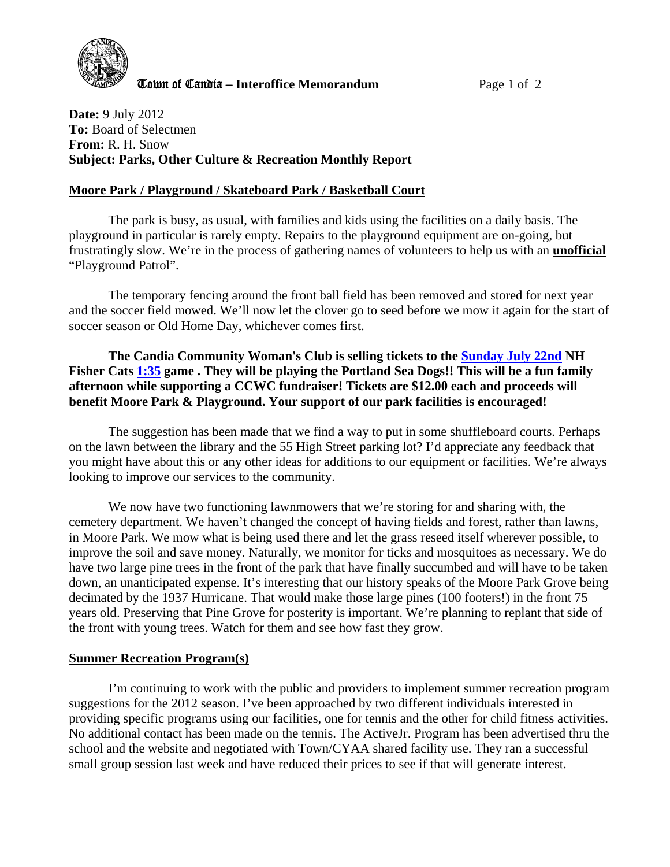

**Cown of Candia – Interoffice Memorandum** Page 1 of 2

**Date:** 9 July 2012 **To:** Board of Selectmen **From:** R. H. Snow **Subject: Parks, Other Culture & Recreation Monthly Report** 

## **Moore Park / Playground / Skateboard Park / Basketball Court**

The park is busy, as usual, with families and kids using the facilities on a daily basis. The playground in particular is rarely empty. Repairs to the playground equipment are on-going, but frustratingly slow. We're in the process of gathering names of volunteers to help us with an **unofficial** "Playground Patrol".

The temporary fencing around the front ball field has been removed and stored for next year and the soccer field mowed. We'll now let the clover go to seed before we mow it again for the start of soccer season or Old Home Day, whichever comes first.

**The Candia Community Woman's Club is selling tickets to the Sunday July 22nd NH Fisher Cats 1:35 game . They will be playing the Portland Sea Dogs!! This will be a fun family afternoon while supporting a CCWC fundraiser! Tickets are \$12.00 each and proceeds will benefit Moore Park & Playground. Your support of our park facilities is encouraged!** 

The suggestion has been made that we find a way to put in some shuffleboard courts. Perhaps on the lawn between the library and the 55 High Street parking lot? I'd appreciate any feedback that you might have about this or any other ideas for additions to our equipment or facilities. We're always looking to improve our services to the community.

We now have two functioning lawnmowers that we're storing for and sharing with, the cemetery department. We haven't changed the concept of having fields and forest, rather than lawns, in Moore Park. We mow what is being used there and let the grass reseed itself wherever possible, to improve the soil and save money. Naturally, we monitor for ticks and mosquitoes as necessary. We do have two large pine trees in the front of the park that have finally succumbed and will have to be taken down, an unanticipated expense. It's interesting that our history speaks of the Moore Park Grove being decimated by the 1937 Hurricane. That would make those large pines (100 footers!) in the front 75 years old. Preserving that Pine Grove for posterity is important. We're planning to replant that side of the front with young trees. Watch for them and see how fast they grow.

### **Summer Recreation Program(s)**

I'm continuing to work with the public and providers to implement summer recreation program suggestions for the 2012 season. I've been approached by two different individuals interested in providing specific programs using our facilities, one for tennis and the other for child fitness activities. No additional contact has been made on the tennis. The ActiveJr. Program has been advertised thru the school and the website and negotiated with Town/CYAA shared facility use. They ran a successful small group session last week and have reduced their prices to see if that will generate interest.